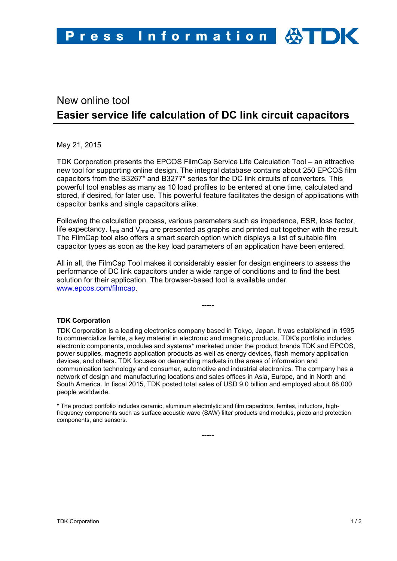## New online tool **Easier service life calculation of DC link circuit capacitors**

May 21, 2015

TDK Corporation presents the EPCOS FilmCap Service Life Calculation Tool – an attractive new tool for supporting online design. The integral database contains about 250 EPCOS film capacitors from the B3267\* and B3277\* series for the DC link circuits of converters. This powerful tool enables as many as 10 load profiles to be entered at one time, calculated and stored, if desired, for later use. This powerful feature facilitates the design of applications with capacitor banks and single capacitors alike.

Following the calculation process, various parameters such as impedance, ESR, loss factor, life expectancy,  $I_{rms}$  and  $V_{rms}$  are presented as graphs and printed out together with the result. The FilmCap tool also offers a smart search option which displays a list of suitable film capacitor types as soon as the key load parameters of an application have been entered.

All in all, the FilmCap Tool makes it considerably easier for design engineers to assess the performance of DC link capacitors under a wide range of conditions and to find the best solution for their application. The browser-based tool is available under [www.epcos.com/filmcap.](http://www.epcos.de/filmcap)

-----

**TDK Corporation**

TDK Corporation is a leading electronics company based in Tokyo, Japan. It was established in 1935 to commercialize ferrite, a key material in electronic and magnetic products. TDK's portfolio includes electronic components, modules and systems\* marketed under the product brands TDK and EPCOS, power supplies, magnetic application products as well as energy devices, flash memory application devices, and others. TDK focuses on demanding markets in the areas of information and communication technology and consumer, automotive and industrial electronics. The company has a network of design and manufacturing locations and sales offices in Asia, Europe, and in North and South America. In fiscal 2015, TDK posted total sales of USD 9.0 billion and employed about 88,000 people worldwide.

\* The product portfolio includes ceramic, aluminum electrolytic and film capacitors, ferrites, inductors, highfrequency components such as surface acoustic wave (SAW) filter products and modules, piezo and protection components, and sensors.

-----

TDK Corporation 1 / 2